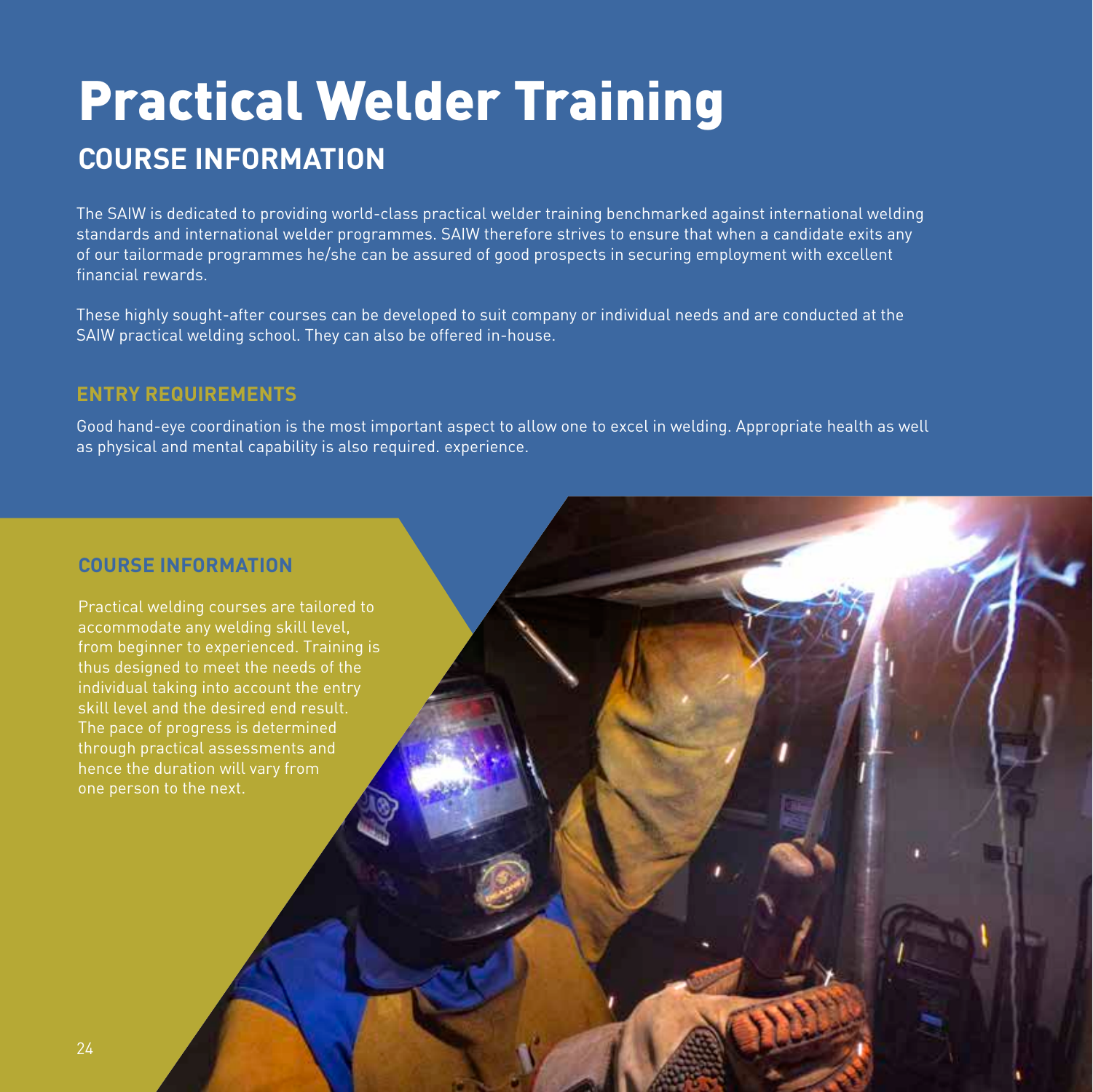# Practical Welder Training **COURSE INFORMATION**

The SAIW is dedicated to providing world-class practical welder training benchmarked against international welding standards and international welder programmes. SAIW therefore strives to ensure that when a candidate exits any of our tailormade programmes he/she can be assured of good prospects in securing employment with excellent financial rewards.

These highly sought-after courses can be developed to suit company or individual needs and are conducted at the SAIW practical welding school. They can also be offered in-house.

#### **ENTRY REQUIREMENTS**

Good hand-eye coordination is the most important aspect to allow one to excel in welding. Appropriate health as well as physical and mental capability is also required. experience.

#### **COURSE INFORMATION**

Practical welding courses are tailored to accommodate any welding skill level, from beginner to experienced. Training is thus designed to meet the needs of the individual taking into account the entry skill level and the desired end result. The pace of progress is determined through practical assessments and hence the duration will vary from one person to the next.